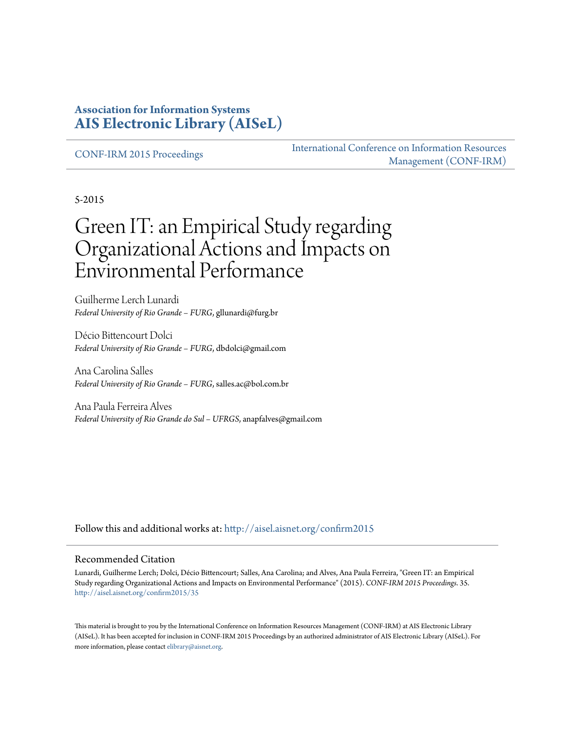### **Association for Information Systems [AIS Electronic Library \(AISeL\)](http://aisel.aisnet.org?utm_source=aisel.aisnet.org%2Fconfirm2015%2F35&utm_medium=PDF&utm_campaign=PDFCoverPages)**

[CONF-IRM 2015 Proceedings](http://aisel.aisnet.org/confirm2015?utm_source=aisel.aisnet.org%2Fconfirm2015%2F35&utm_medium=PDF&utm_campaign=PDFCoverPages)

[International Conference on Information Resources](http://aisel.aisnet.org/conf-irm?utm_source=aisel.aisnet.org%2Fconfirm2015%2F35&utm_medium=PDF&utm_campaign=PDFCoverPages) [Management \(CONF-IRM\)](http://aisel.aisnet.org/conf-irm?utm_source=aisel.aisnet.org%2Fconfirm2015%2F35&utm_medium=PDF&utm_campaign=PDFCoverPages)

5-2015

# Green IT: an Empirical Study regarding Organizational Actions and Impacts on Environmental Performance

Guilherme Lerch Lunardi *Federal University of Rio Grande – FURG*, gllunardi@furg.br

Décio Bittencourt Dolci *Federal University of Rio Grande – FURG*, dbdolci@gmail.com

Ana Carolina Salles *Federal University of Rio Grande – FURG*, salles.ac@bol.com.br

Ana Paula Ferreira Alves *Federal University of Rio Grande do Sul – UFRGS*, anapfalves@gmail.com

Follow this and additional works at: [http://aisel.aisnet.org/confirm2015](http://aisel.aisnet.org/confirm2015?utm_source=aisel.aisnet.org%2Fconfirm2015%2F35&utm_medium=PDF&utm_campaign=PDFCoverPages)

#### Recommended Citation

Lunardi, Guilherme Lerch; Dolci, Décio Bittencourt; Salles, Ana Carolina; and Alves, Ana Paula Ferreira, "Green IT: an Empirical Study regarding Organizational Actions and Impacts on Environmental Performance" (2015). *CONF-IRM 2015 Proceedings*. 35. [http://aisel.aisnet.org/confirm2015/35](http://aisel.aisnet.org/confirm2015/35?utm_source=aisel.aisnet.org%2Fconfirm2015%2F35&utm_medium=PDF&utm_campaign=PDFCoverPages)

This material is brought to you by the International Conference on Information Resources Management (CONF-IRM) at AIS Electronic Library (AISeL). It has been accepted for inclusion in CONF-IRM 2015 Proceedings by an authorized administrator of AIS Electronic Library (AISeL). For more information, please contact [elibrary@aisnet.org.](mailto:elibrary@aisnet.org%3E)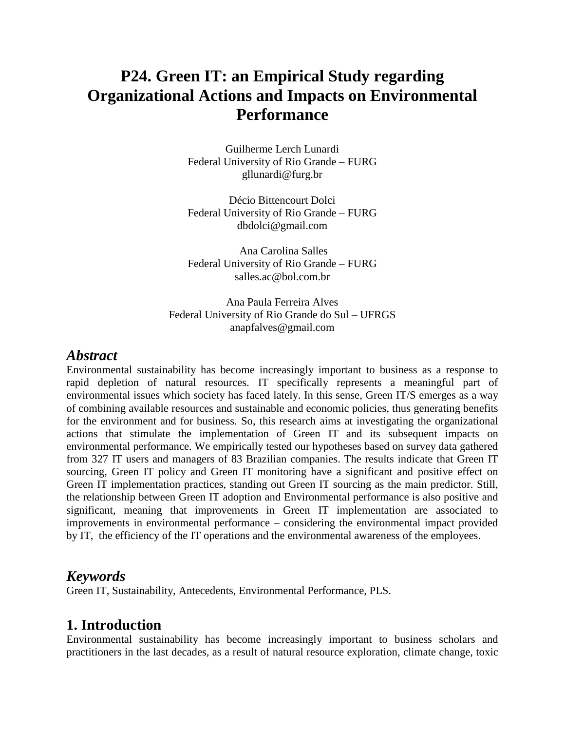# **P24. Green IT: an Empirical Study regarding Organizational Actions and Impacts on Environmental Performance**

Guilherme Lerch Lunardi Federal University of Rio Grande – FURG gllunardi@furg.br

Décio Bittencourt Dolci Federal University of Rio Grande – FURG dbdolci@gmail.com

Ana Carolina Salles Federal University of Rio Grande – FURG salles.ac@bol.com.br

Ana Paula Ferreira Alves Federal University of Rio Grande do Sul – UFRGS anapfalves@gmail.com

### *Abstract*

Environmental sustainability has become increasingly important to business as a response to rapid depletion of natural resources. IT specifically represents a meaningful part of environmental issues which society has faced lately. In this sense, Green IT/S emerges as a way of combining available resources and sustainable and economic policies, thus generating benefits for the environment and for business. So, this research aims at investigating the organizational actions that stimulate the implementation of Green IT and its subsequent impacts on environmental performance. We empirically tested our hypotheses based on survey data gathered from 327 IT users and managers of 83 Brazilian companies. The results indicate that Green IT sourcing, Green IT policy and Green IT monitoring have a significant and positive effect on Green IT implementation practices, standing out Green IT sourcing as the main predictor. Still, the relationship between Green IT adoption and Environmental performance is also positive and significant, meaning that improvements in Green IT implementation are associated to improvements in environmental performance – considering the environmental impact provided by IT, the efficiency of the IT operations and the environmental awareness of the employees.

### *Keywords*

Green IT, Sustainability, Antecedents, Environmental Performance, PLS.

### **1. Introduction**

Environmental sustainability has become increasingly important to business scholars and practitioners in the last decades, as a result of natural resource exploration, climate change, toxic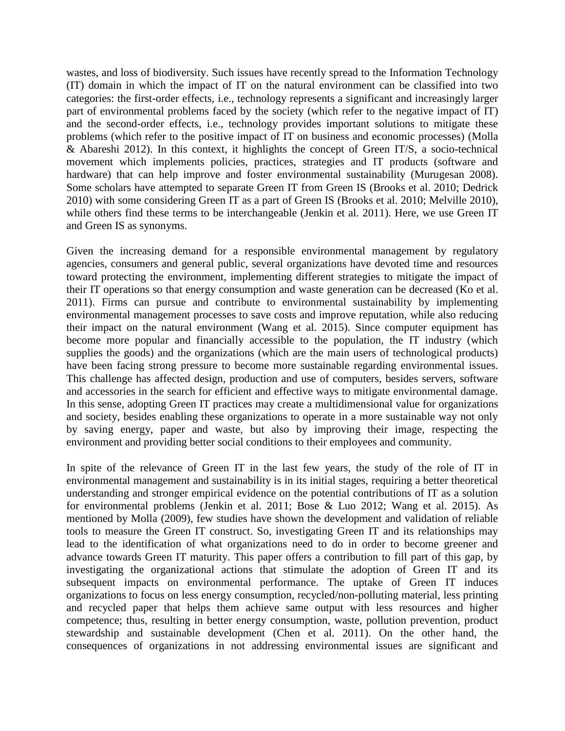wastes, and loss of biodiversity. Such issues have recently spread to the Information Technology (IT) domain in which the impact of IT on the natural environment can be classified into two categories: the first-order effects, i.e., technology represents a significant and increasingly larger part of environmental problems faced by the society (which refer to the negative impact of IT) and the second-order effects, i.e., technology provides important solutions to mitigate these problems (which refer to the positive impact of IT on business and economic processes) (Molla & Abareshi 2012). In this context, it highlights the concept of Green IT/S, a socio-technical movement which implements policies, practices, strategies and IT products (software and hardware) that can help improve and foster environmental sustainability (Murugesan 2008). Some scholars have attempted to separate Green IT from Green IS (Brooks et al. 2010; Dedrick 2010) with some considering Green IT as a part of Green IS (Brooks et al. 2010; Melville 2010), while others find these terms to be interchangeable (Jenkin et al. 2011). Here, we use Green IT and Green IS as synonyms.

Given the increasing demand for a responsible environmental management by regulatory agencies, consumers and general public, several organizations have devoted time and resources toward protecting the environment, implementing different strategies to mitigate the impact of their IT operations so that energy consumption and waste generation can be decreased (Ko et al. 2011). Firms can pursue and contribute to environmental sustainability by implementing environmental management processes to save costs and improve reputation, while also reducing their impact on the natural environment (Wang et al. 2015). Since computer equipment has become more popular and financially accessible to the population, the IT industry (which supplies the goods) and the organizations (which are the main users of technological products) have been facing strong pressure to become more sustainable regarding environmental issues. This challenge has affected design, production and use of computers, besides servers, software and accessories in the search for efficient and effective ways to mitigate environmental damage. In this sense, adopting Green IT practices may create a multidimensional value for organizations and society, besides enabling these organizations to operate in a more sustainable way not only by saving energy, paper and waste, but also by improving their image, respecting the environment and providing better social conditions to their employees and community.

In spite of the relevance of Green IT in the last few years, the study of the role of IT in environmental management and sustainability is in its initial stages, requiring a better theoretical understanding and stronger empirical evidence on the potential contributions of IT as a solution for environmental problems (Jenkin et al. 2011; Bose & Luo 2012; Wang et al. 2015). As mentioned by Molla (2009), few studies have shown the development and validation of reliable tools to measure the Green IT construct. So, investigating Green IT and its relationships may lead to the identification of what organizations need to do in order to become greener and advance towards Green IT maturity. This paper offers a contribution to fill part of this gap, by investigating the organizational actions that stimulate the adoption of Green IT and its subsequent impacts on environmental performance. The uptake of Green IT induces organizations to focus on less energy consumption, recycled/non-polluting material, less printing and recycled paper that helps them achieve same output with less resources and higher competence; thus, resulting in better energy consumption, waste, pollution prevention, product stewardship and sustainable development (Chen et al. 2011). On the other hand, the consequences of organizations in not addressing environmental issues are significant and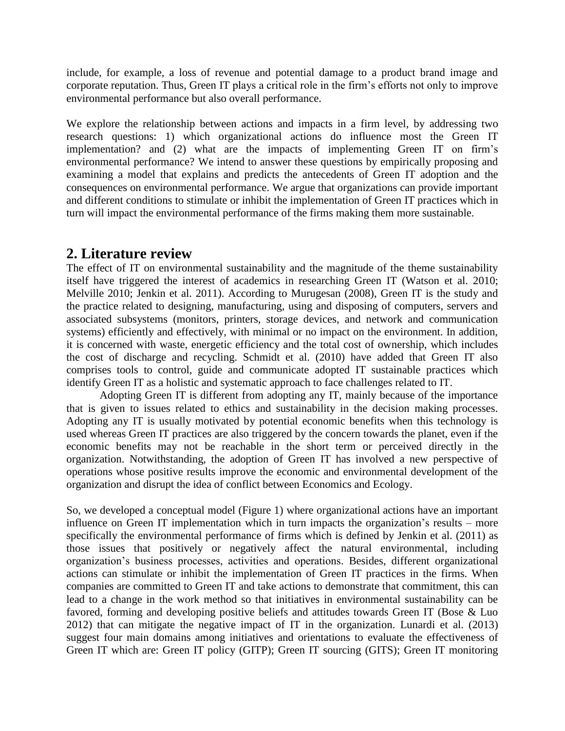include, for example, a loss of revenue and potential damage to a product brand image and corporate reputation. Thus, Green IT plays a critical role in the firm's efforts not only to improve environmental performance but also overall performance.

We explore the relationship between actions and impacts in a firm level, by addressing two research questions: 1) which organizational actions do influence most the Green IT implementation? and (2) what are the impacts of implementing Green IT on firm's environmental performance? We intend to answer these questions by empirically proposing and examining a model that explains and predicts the antecedents of Green IT adoption and the consequences on environmental performance. We argue that organizations can provide important and different conditions to stimulate or inhibit the implementation of Green IT practices which in turn will impact the environmental performance of the firms making them more sustainable.

### **2. Literature review**

The effect of IT on environmental sustainability and the magnitude of the theme sustainability itself have triggered the interest of academics in researching Green IT (Watson et al. 2010; Melville 2010; Jenkin et al. 2011). According to Murugesan (2008), Green IT is the study and the practice related to designing, manufacturing, using and disposing of computers, servers and associated subsystems (monitors, printers, storage devices, and network and communication systems) efficiently and effectively, with minimal or no impact on the environment. In addition, it is concerned with waste, energetic efficiency and the total cost of ownership, which includes the cost of discharge and recycling. Schmidt et al. (2010) have added that Green IT also comprises tools to control, guide and communicate adopted IT sustainable practices which identify Green IT as a holistic and systematic approach to face challenges related to IT.

Adopting Green IT is different from adopting any IT, mainly because of the importance that is given to issues related to ethics and sustainability in the decision making processes. Adopting any IT is usually motivated by potential economic benefits when this technology is used whereas Green IT practices are also triggered by the concern towards the planet, even if the economic benefits may not be reachable in the short term or perceived directly in the organization. Notwithstanding, the adoption of Green IT has involved a new perspective of operations whose positive results improve the economic and environmental development of the organization and disrupt the idea of conflict between Economics and Ecology.

So, we developed a conceptual model (Figure 1) where organizational actions have an important influence on Green IT implementation which in turn impacts the organization's results – more specifically the environmental performance of firms which is defined by Jenkin et al. (2011) as those issues that positively or negatively affect the natural environmental, including organization's business processes, activities and operations. Besides, different organizational actions can stimulate or inhibit the implementation of Green IT practices in the firms. When companies are committed to Green IT and take actions to demonstrate that commitment, this can lead to a change in the work method so that initiatives in environmental sustainability can be favored, forming and developing positive beliefs and attitudes towards Green IT (Bose & Luo 2012) that can mitigate the negative impact of IT in the organization. Lunardi et al. (2013) suggest four main domains among initiatives and orientations to evaluate the effectiveness of Green IT which are: Green IT policy (GITP); Green IT sourcing (GITS); Green IT monitoring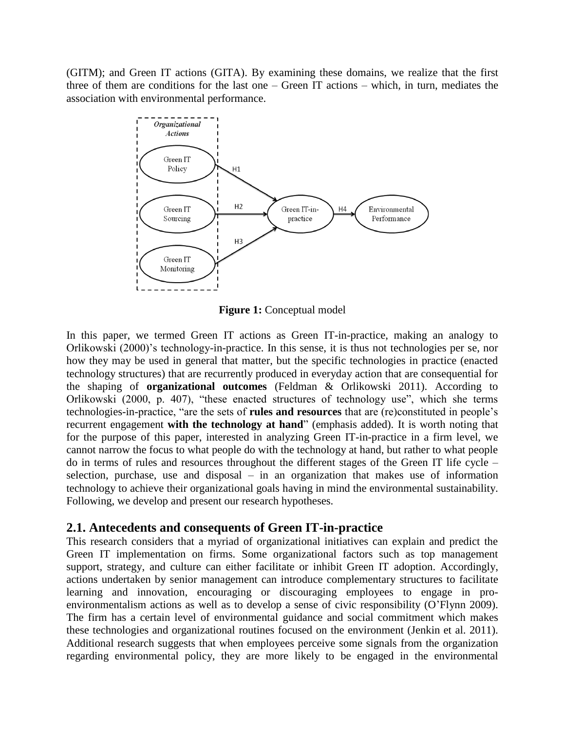(GITM); and Green IT actions (GITA). By examining these domains, we realize that the first three of them are conditions for the last one – Green IT actions – which, in turn, mediates the association with environmental performance.



**Figure 1:** Conceptual model

In this paper, we termed Green IT actions as Green IT-in-practice, making an analogy to Orlikowski (2000)'s technology-in-practice. In this sense, it is thus not technologies per se, nor how they may be used in general that matter, but the specific technologies in practice (enacted technology structures) that are recurrently produced in everyday action that are consequential for the shaping of **organizational outcomes** (Feldman & Orlikowski 2011). According to Orlikowski (2000, p. 407), "these enacted structures of technology use", which she terms technologies-in-practice, "are the sets of **rules and resources** that are (re)constituted in people's recurrent engagement **with the technology at hand**" (emphasis added). It is worth noting that for the purpose of this paper, interested in analyzing Green IT-in-practice in a firm level, we cannot narrow the focus to what people do with the technology at hand, but rather to what people do in terms of rules and resources throughout the different stages of the Green IT life cycle – selection, purchase, use and disposal – in an organization that makes use of information technology to achieve their organizational goals having in mind the environmental sustainability. Following, we develop and present our research hypotheses.

### **2.1. Antecedents and consequents of Green IT-in-practice**

This research considers that a myriad of organizational initiatives can explain and predict the Green IT implementation on firms. Some organizational factors such as top management support, strategy, and culture can either facilitate or inhibit Green IT adoption. Accordingly, actions undertaken by senior management can introduce complementary structures to facilitate learning and innovation, encouraging or discouraging employees to engage in proenvironmentalism actions as well as to develop a sense of civic responsibility (O'Flynn 2009). The firm has a certain level of environmental guidance and social commitment which makes these technologies and organizational routines focused on the environment (Jenkin et al. 2011). Additional research suggests that when employees perceive some signals from the organization regarding environmental policy, they are more likely to be engaged in the environmental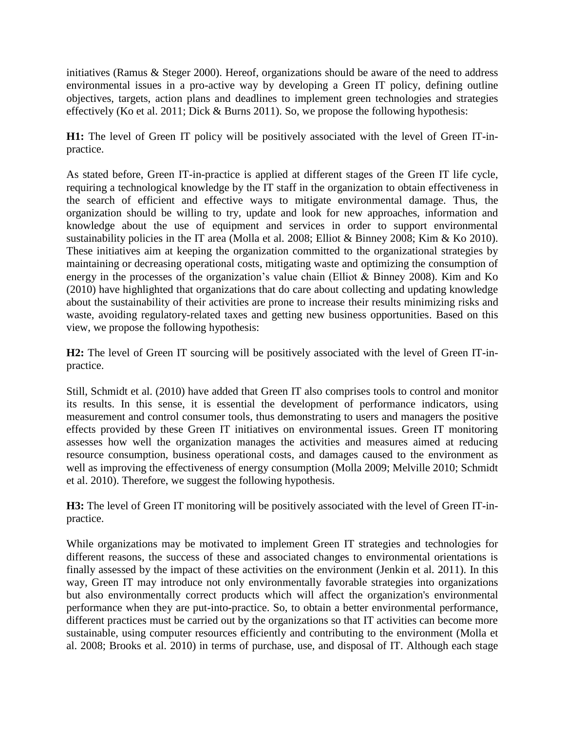initiatives (Ramus & Steger 2000). Hereof, organizations should be aware of the need to address environmental issues in a pro-active way by developing a Green IT policy, defining outline objectives, targets, action plans and deadlines to implement green technologies and strategies effectively (Ko et al. 2011; Dick & Burns 2011). So, we propose the following hypothesis:

**H1:** The level of Green IT policy will be positively associated with the level of Green IT-inpractice.

As stated before, Green IT-in-practice is applied at different stages of the Green IT life cycle, requiring a technological knowledge by the IT staff in the organization to obtain effectiveness in the search of efficient and effective ways to mitigate environmental damage. Thus, the organization should be willing to try, update and look for new approaches, information and knowledge about the use of equipment and services in order to support environmental sustainability policies in the IT area (Molla et al. 2008; Elliot & Binney 2008; Kim & Ko 2010). These initiatives aim at keeping the organization committed to the organizational strategies by maintaining or decreasing operational costs, mitigating waste and optimizing the consumption of energy in the processes of the organization's value chain (Elliot & Binney 2008). Kim and Ko (2010) have highlighted that organizations that do care about collecting and updating knowledge about the sustainability of their activities are prone to increase their results minimizing risks and waste, avoiding regulatory-related taxes and getting new business opportunities. Based on this view, we propose the following hypothesis:

**H2:** The level of Green IT sourcing will be positively associated with the level of Green IT-inpractice.

Still, Schmidt et al. (2010) have added that Green IT also comprises tools to control and monitor its results. In this sense, it is essential the development of performance indicators, using measurement and control consumer tools, thus demonstrating to users and managers the positive effects provided by these Green IT initiatives on environmental issues. Green IT monitoring assesses how well the organization manages the activities and measures aimed at reducing resource consumption, business operational costs, and damages caused to the environment as well as improving the effectiveness of energy consumption (Molla 2009; Melville 2010; Schmidt et al. 2010). Therefore, we suggest the following hypothesis.

**H3:** The level of Green IT monitoring will be positively associated with the level of Green IT-inpractice.

While organizations may be motivated to implement Green IT strategies and technologies for different reasons, the success of these and associated changes to environmental orientations is finally assessed by the impact of these activities on the environment (Jenkin et al. 2011). In this way, Green IT may introduce not only environmentally favorable strategies into organizations but also environmentally correct products which will affect the organization's environmental performance when they are put-into-practice. So, to obtain a better environmental performance, different practices must be carried out by the organizations so that IT activities can become more sustainable, using computer resources efficiently and contributing to the environment (Molla et al. 2008; Brooks et al. 2010) in terms of purchase, use, and disposal of IT. Although each stage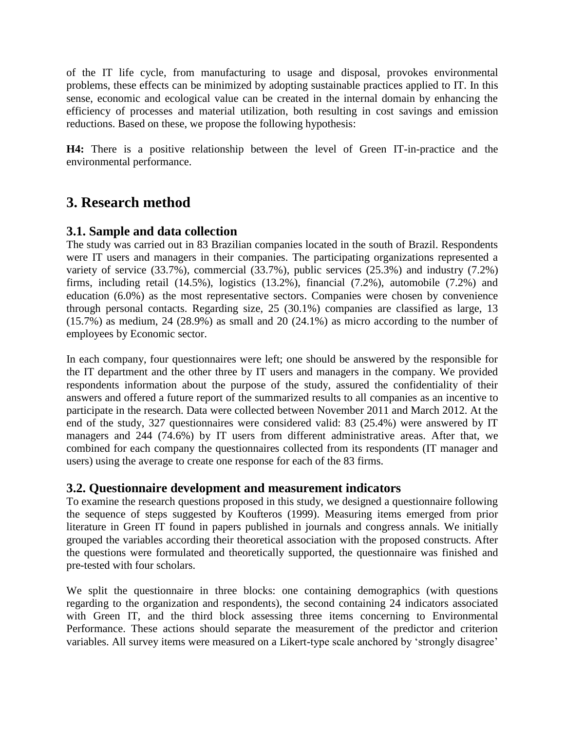of the IT life cycle, from manufacturing to usage and disposal, provokes environmental problems, these effects can be minimized by adopting sustainable practices applied to IT. In this sense, economic and ecological value can be created in the internal domain by enhancing the efficiency of processes and material utilization, both resulting in cost savings and emission reductions. Based on these, we propose the following hypothesis:

**H4:** There is a positive relationship between the level of Green IT-in-practice and the environmental performance.

# **3. Research method**

### **3.1. Sample and data collection**

The study was carried out in 83 Brazilian companies located in the south of Brazil. Respondents were IT users and managers in their companies. The participating organizations represented a variety of service  $(33.7\%)$ , commercial  $(33.7\%)$ , public services  $(25.3\%)$  and industry  $(7.2\%)$ firms, including retail (14.5%), logistics (13.2%), financial (7.2%), automobile (7.2%) and education (6.0%) as the most representative sectors. Companies were chosen by convenience through personal contacts. Regarding size, 25 (30.1%) companies are classified as large, 13 (15.7%) as medium, 24 (28.9%) as small and 20 (24.1%) as micro according to the number of employees by Economic sector.

In each company, four questionnaires were left; one should be answered by the responsible for the IT department and the other three by IT users and managers in the company. We provided respondents information about the purpose of the study, assured the confidentiality of their answers and offered a future report of the summarized results to all companies as an incentive to participate in the research. Data were collected between November 2011 and March 2012. At the end of the study, 327 questionnaires were considered valid: 83 (25.4%) were answered by IT managers and 244 (74.6%) by IT users from different administrative areas. After that, we combined for each company the questionnaires collected from its respondents (IT manager and users) using the average to create one response for each of the 83 firms.

### **3.2. Questionnaire development and measurement indicators**

To examine the research questions proposed in this study, we designed a questionnaire following the sequence of steps suggested by Koufteros (1999). Measuring items emerged from prior literature in Green IT found in papers published in journals and congress annals. We initially grouped the variables according their theoretical association with the proposed constructs. After the questions were formulated and theoretically supported, the questionnaire was finished and pre-tested with four scholars.

We split the questionnaire in three blocks: one containing demographics (with questions regarding to the organization and respondents), the second containing 24 indicators associated with Green IT, and the third block assessing three items concerning to Environmental Performance. These actions should separate the measurement of the predictor and criterion variables. All survey items were measured on a Likert-type scale anchored by 'strongly disagree'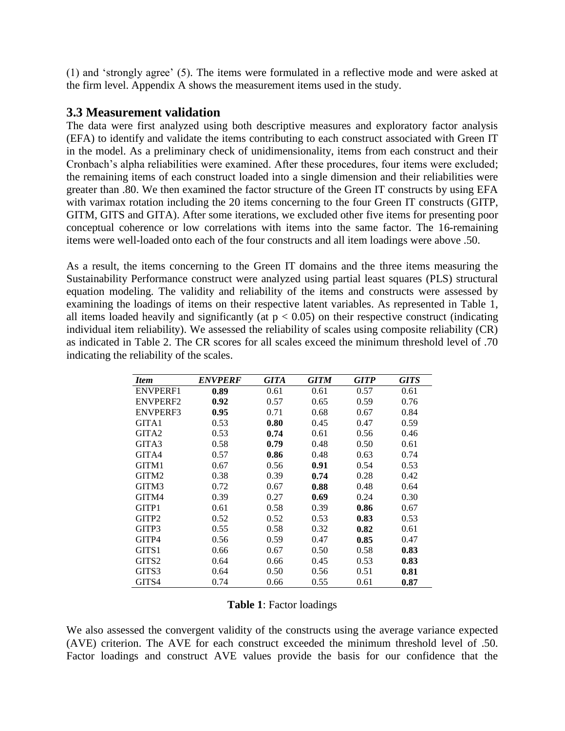(1) and 'strongly agree' (5). The items were formulated in a reflective mode and were asked at the firm level. Appendix A shows the measurement items used in the study.

### **3.3 Measurement validation**

The data were first analyzed using both descriptive measures and exploratory factor analysis (EFA) to identify and validate the items contributing to each construct associated with Green IT in the model. As a preliminary check of unidimensionality, items from each construct and their Cronbach's alpha reliabilities were examined. After these procedures, four items were excluded; the remaining items of each construct loaded into a single dimension and their reliabilities were greater than .80. We then examined the factor structure of the Green IT constructs by using EFA with varimax rotation including the 20 items concerning to the four Green IT constructs (GITP, GITM, GITS and GITA). After some iterations, we excluded other five items for presenting poor conceptual coherence or low correlations with items into the same factor. The 16-remaining items were well-loaded onto each of the four constructs and all item loadings were above .50.

As a result, the items concerning to the Green IT domains and the three items measuring the Sustainability Performance construct were analyzed using partial least squares (PLS) structural equation modeling. The validity and reliability of the items and constructs were assessed by examining the loadings of items on their respective latent variables. As represented in Table 1, all items loaded heavily and significantly (at  $p < 0.05$ ) on their respective construct (indicating individual item reliability). We assessed the reliability of scales using composite reliability (CR) as indicated in Table 2. The CR scores for all scales exceed the minimum threshold level of .70 indicating the reliability of the scales.

| <b>Item</b>       | <b>ENVPERF</b> | GITA | <b>GITM</b> | <b>GITP</b> | <b>GITS</b> |
|-------------------|----------------|------|-------------|-------------|-------------|
| <b>ENVPERF1</b>   | 0.89           | 0.61 | 0.61        | 0.57        | 0.61        |
| <b>ENVPERF2</b>   | 0.92           | 0.57 | 0.65        | 0.59        | 0.76        |
| <b>ENVPERF3</b>   | 0.95           | 0.71 | 0.68        | 0.67        | 0.84        |
| GITA1             | 0.53           | 0.80 | 0.45        | 0.47        | 0.59        |
| GITA <sub>2</sub> | 0.53           | 0.74 | 0.61        | 0.56        | 0.46        |
| GITA3             | 0.58           | 0.79 | 0.48        | 0.50        | 0.61        |
| GITA4             | 0.57           | 0.86 | 0.48        | 0.63        | 0.74        |
| GITM1             | 0.67           | 0.56 | 0.91        | 0.54        | 0.53        |
| GITM2             | 0.38           | 0.39 | 0.74        | 0.28        | 0.42        |
| GITM3             | 0.72           | 0.67 | 0.88        | 0.48        | 0.64        |
| GITM4             | 0.39           | 0.27 | 0.69        | 0.24        | 0.30        |
| GITP1             | 0.61           | 0.58 | 0.39        | 0.86        | 0.67        |
| GITP <sub>2</sub> | 0.52           | 0.52 | 0.53        | 0.83        | 0.53        |
| GITP3             | 0.55           | 0.58 | 0.32        | 0.82        | 0.61        |
| GITP4             | 0.56           | 0.59 | 0.47        | 0.85        | 0.47        |
| GITS1             | 0.66           | 0.67 | 0.50        | 0.58        | 0.83        |
| GITS <sub>2</sub> | 0.64           | 0.66 | 0.45        | 0.53        | 0.83        |
| GITS3             | 0.64           | 0.50 | 0.56        | 0.51        | 0.81        |
| GITS4             | 0.74           | 0.66 | 0.55        | 0.61        | 0.87        |

| Table 1: Factor loadings |
|--------------------------|
|--------------------------|

We also assessed the convergent validity of the constructs using the average variance expected (AVE) criterion. The AVE for each construct exceeded the minimum threshold level of .50. Factor loadings and construct AVE values provide the basis for our confidence that the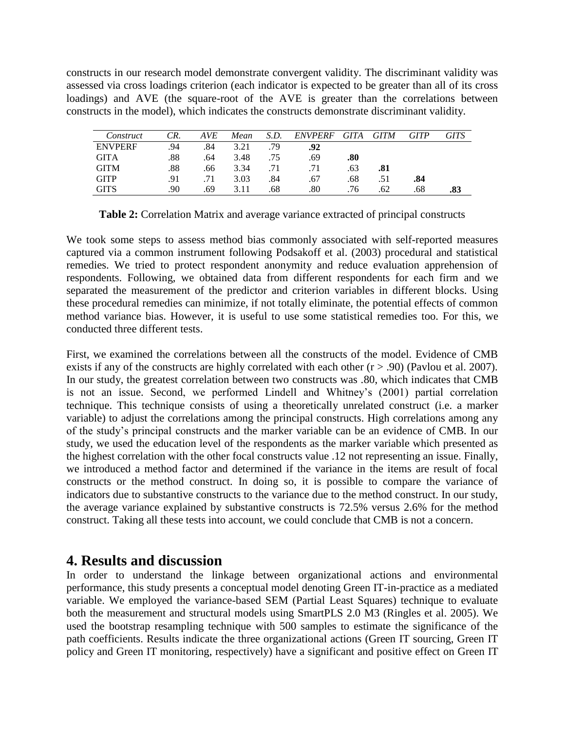constructs in our research model demonstrate convergent validity. The discriminant validity was assessed via cross loadings criterion (each indicator is expected to be greater than all of its cross loadings) and AVE (the square-root of the AVE is greater than the correlations between constructs in the model), which indicates the constructs demonstrate discriminant validity.

| Construct      | CR. | AVE | Mean | S.D. | <b>ENVPERF</b> | GITA | <i>GITM</i> | GITP | GITS |
|----------------|-----|-----|------|------|----------------|------|-------------|------|------|
| <b>ENVPERF</b> | .94 | .84 | 3.21 | 79   | .92            |      |             |      |      |
| <b>GITA</b>    | .88 | .64 | 3.48 | .75  | .69            | .80  |             |      |      |
| <b>GITM</b>    | .88 | .66 | 3.34 |      |                | .63  | .81         |      |      |
| <b>GITP</b>    | .91 |     | 3.03 | .84  | .67            | .68  | .51         | .84  |      |
| GITS           | .90 | .69 | 3.11 | .68  | .80            | .76  | .62         | .68  | .83  |

**Table 2:** Correlation Matrix and average variance extracted of principal constructs

We took some steps to assess method bias commonly associated with self-reported measures captured via a common instrument following Podsakoff et al. (2003) procedural and statistical remedies. We tried to protect respondent anonymity and reduce evaluation apprehension of respondents. Following, we obtained data from different respondents for each firm and we separated the measurement of the predictor and criterion variables in different blocks. Using these procedural remedies can minimize, if not totally eliminate, the potential effects of common method variance bias. However, it is useful to use some statistical remedies too. For this, we conducted three different tests.

First, we examined the correlations between all the constructs of the model. Evidence of CMB exists if any of the constructs are highly correlated with each other  $(r > .90)$  (Pavlou et al. 2007). In our study, the greatest correlation between two constructs was .80, which indicates that CMB is not an issue. Second, we performed Lindell and Whitney's (2001) partial correlation technique. This technique consists of using a theoretically unrelated construct (i.e. a marker variable) to adjust the correlations among the principal constructs. High correlations among any of the study's principal constructs and the marker variable can be an evidence of CMB. In our study, we used the education level of the respondents as the marker variable which presented as the highest correlation with the other focal constructs value .12 not representing an issue. Finally, we introduced a method factor and determined if the variance in the items are result of focal constructs or the method construct. In doing so, it is possible to compare the variance of indicators due to substantive constructs to the variance due to the method construct. In our study, the average variance explained by substantive constructs is 72.5% versus 2.6% for the method construct. Taking all these tests into account, we could conclude that CMB is not a concern.

### **4. Results and discussion**

In order to understand the linkage between organizational actions and environmental performance, this study presents a conceptual model denoting Green IT-in-practice as a mediated variable. We employed the variance-based SEM (Partial Least Squares) technique to evaluate both the measurement and structural models using SmartPLS 2.0 M3 (Ringles et al. 2005). We used the bootstrap resampling technique with 500 samples to estimate the significance of the path coefficients. Results indicate the three organizational actions (Green IT sourcing, Green IT policy and Green IT monitoring, respectively) have a significant and positive effect on Green IT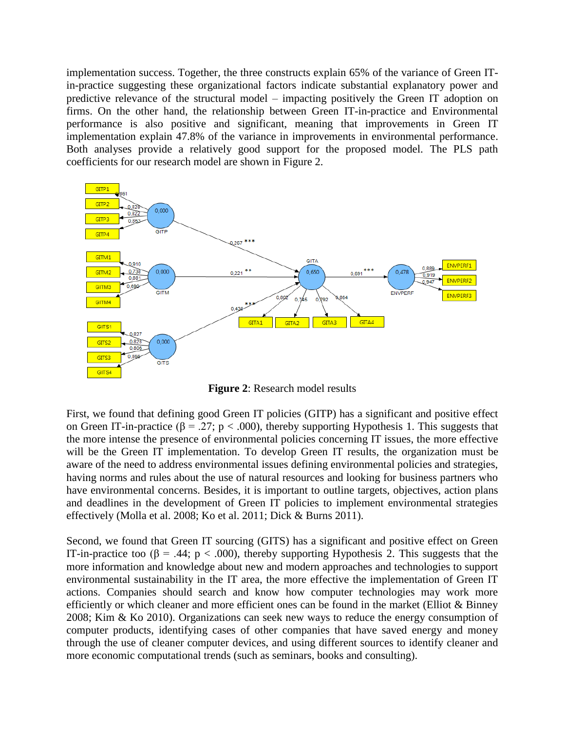implementation success. Together, the three constructs explain 65% of the variance of Green ITin-practice suggesting these organizational factors indicate substantial explanatory power and predictive relevance of the structural model – impacting positively the Green IT adoption on firms. On the other hand, the relationship between Green IT-in-practice and Environmental performance is also positive and significant, meaning that improvements in Green IT implementation explain 47.8% of the variance in improvements in environmental performance. Both analyses provide a relatively good support for the proposed model. The PLS path coefficients for our research model are shown in Figure 2.



**Figure 2**: Research model results

First, we found that defining good Green IT policies (GITP) has a significant and positive effect on Green IT-in-practice ( $\beta$  = .27; p < .000), thereby supporting Hypothesis 1. This suggests that the more intense the presence of environmental policies concerning IT issues, the more effective will be the Green IT implementation. To develop Green IT results, the organization must be aware of the need to address environmental issues defining environmental policies and strategies, having norms and rules about the use of natural resources and looking for business partners who have environmental concerns. Besides, it is important to outline targets, objectives, action plans and deadlines in the development of Green IT policies to implement environmental strategies effectively (Molla et al. 2008; Ko et al. 2011; Dick & Burns 2011).

Second, we found that Green IT sourcing (GITS) has a significant and positive effect on Green IT-in-practice too ( $\beta$  = .44; p < .000), thereby supporting Hypothesis 2. This suggests that the more information and knowledge about new and modern approaches and technologies to support environmental sustainability in the IT area, the more effective the implementation of Green IT actions. Companies should search and know how computer technologies may work more efficiently or which cleaner and more efficient ones can be found in the market (Elliot & Binney 2008; Kim & Ko 2010). Organizations can seek new ways to reduce the energy consumption of computer products, identifying cases of other companies that have saved energy and money through the use of cleaner computer devices, and using different sources to identify cleaner and more economic computational trends (such as seminars, books and consulting).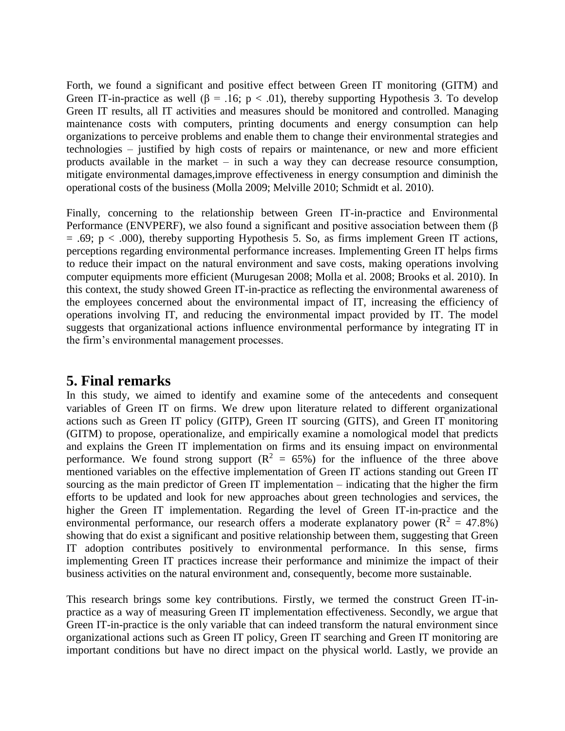Forth, we found a significant and positive effect between Green IT monitoring (GITM) and Green IT-in-practice as well ( $\beta$  = .16; p < .01), thereby supporting Hypothesis 3. To develop Green IT results, all IT activities and measures should be monitored and controlled. Managing maintenance costs with computers, printing documents and energy consumption can help organizations to perceive problems and enable them to change their environmental strategies and technologies – justified by high costs of repairs or maintenance, or new and more efficient products available in the market – in such a way they can decrease resource consumption, mitigate environmental damages,improve effectiveness in energy consumption and diminish the operational costs of the business (Molla 2009; Melville 2010; Schmidt et al. 2010).

Finally, concerning to the relationship between Green IT-in-practice and Environmental Performance (ENVPERF), we also found a significant and positive association between them (β  $= .69$ ; p  $< .000$ ), thereby supporting Hypothesis 5. So, as firms implement Green IT actions, perceptions regarding environmental performance increases. Implementing Green IT helps firms to reduce their impact on the natural environment and save costs, making operations involving computer equipments more efficient (Murugesan 2008; Molla et al. 2008; Brooks et al. 2010). In this context, the study showed Green IT-in-practice as reflecting the environmental awareness of the employees concerned about the environmental impact of IT, increasing the efficiency of operations involving IT, and reducing the environmental impact provided by IT. The model suggests that organizational actions influence environmental performance by integrating IT in the firm's environmental management processes.

### **5. Final remarks**

In this study, we aimed to identify and examine some of the antecedents and consequent variables of Green IT on firms. We drew upon literature related to different organizational actions such as Green IT policy (GITP), Green IT sourcing (GITS), and Green IT monitoring (GITM) to propose, operationalize, and empirically examine a nomological model that predicts and explains the Green IT implementation on firms and its ensuing impact on environmental performance. We found strong support ( $\mathbb{R}^2 = 65\%$ ) for the influence of the three above mentioned variables on the effective implementation of Green IT actions standing out Green IT sourcing as the main predictor of Green IT implementation – indicating that the higher the firm efforts to be updated and look for new approaches about green technologies and services, the higher the Green IT implementation. Regarding the level of Green IT-in-practice and the environmental performance, our research offers a moderate explanatory power ( $R^2 = 47.8\%$ ) showing that do exist a significant and positive relationship between them, suggesting that Green IT adoption contributes positively to environmental performance. In this sense, firms implementing Green IT practices increase their performance and minimize the impact of their business activities on the natural environment and, consequently, become more sustainable.

This research brings some key contributions. Firstly, we termed the construct Green IT-inpractice as a way of measuring Green IT implementation effectiveness. Secondly, we argue that Green IT-in-practice is the only variable that can indeed transform the natural environment since organizational actions such as Green IT policy, Green IT searching and Green IT monitoring are important conditions but have no direct impact on the physical world. Lastly, we provide an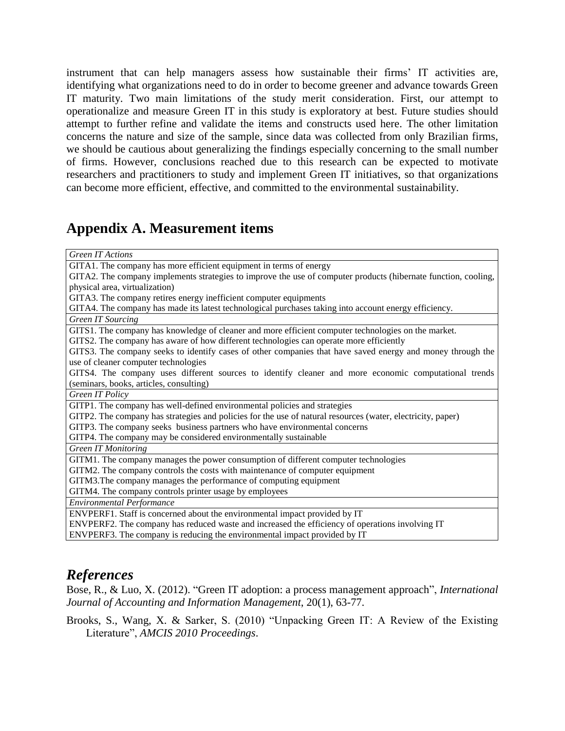instrument that can help managers assess how sustainable their firms' IT activities are, identifying what organizations need to do in order to become greener and advance towards Green IT maturity. Two main limitations of the study merit consideration. First, our attempt to operationalize and measure Green IT in this study is exploratory at best. Future studies should attempt to further refine and validate the items and constructs used here. The other limitation concerns the nature and size of the sample, since data was collected from only Brazilian firms, we should be cautious about generalizing the findings especially concerning to the small number of firms. However, conclusions reached due to this research can be expected to motivate researchers and practitioners to study and implement Green IT initiatives, so that organizations can become more efficient, effective, and committed to the environmental sustainability.

## **Appendix A. Measurement items**

| <b>Green IT Actions</b>                                                                                        |  |  |
|----------------------------------------------------------------------------------------------------------------|--|--|
| GITA1. The company has more efficient equipment in terms of energy                                             |  |  |
| GITA2. The company implements strategies to improve the use of computer products (hibernate function, cooling, |  |  |
| physical area, virtualization)                                                                                 |  |  |
| GITA3. The company retires energy inefficient computer equipments                                              |  |  |
| GITA4. The company has made its latest technological purchases taking into account energy efficiency.          |  |  |
| Green IT Sourcing                                                                                              |  |  |
| GITS1. The company has knowledge of cleaner and more efficient computer technologies on the market.            |  |  |
| GITS2. The company has aware of how different technologies can operate more efficiently                        |  |  |
| GITS3. The company seeks to identify cases of other companies that have saved energy and money through the     |  |  |
| use of cleaner computer technologies                                                                           |  |  |
| GITS4. The company uses different sources to identify cleaner and more economic computational trends           |  |  |
| (seminars, books, articles, consulting)                                                                        |  |  |
| Green IT Policy                                                                                                |  |  |
| GITP1. The company has well-defined environmental policies and strategies                                      |  |  |
| GITP2. The company has strategies and policies for the use of natural resources (water, electricity, paper)    |  |  |
| GITP3. The company seeks business partners who have environmental concerns                                     |  |  |
| GITP4. The company may be considered environmentally sustainable                                               |  |  |
| <b>Green IT Monitoring</b>                                                                                     |  |  |
| GITM1. The company manages the power consumption of different computer technologies                            |  |  |
| GITM2. The company controls the costs with maintenance of computer equipment                                   |  |  |
| GITM3. The company manages the performance of computing equipment                                              |  |  |
| GITM4. The company controls printer usage by employees                                                         |  |  |
| <b>Environmental Performance</b>                                                                               |  |  |
| ENVPERF1. Staff is concerned about the environmental impact provided by IT                                     |  |  |
| ENVPERF2. The company has reduced waste and increased the efficiency of operations involving IT                |  |  |
| ENVPERF3. The company is reducing the environmental impact provided by IT                                      |  |  |

# *References*

Bose, R., & Luo, X. (2012). "Green IT adoption: a process management approach", *International Journal of Accounting and Information Management*, 20(1), 63-77.

Brooks, S., Wang, X. & Sarker, S. (2010) "Unpacking Green IT: A Review of the Existing Literature", *AMCIS 2010 Proceedings*.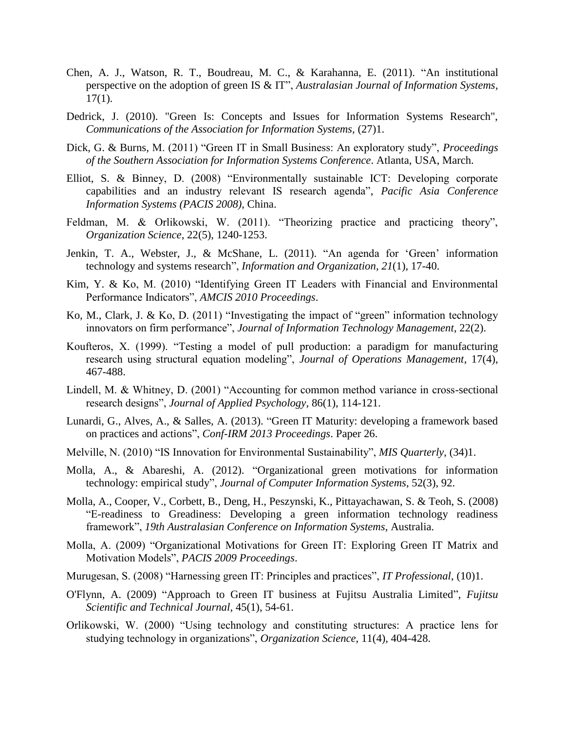- Chen, A. J., Watson, R. T., Boudreau, M. C., & Karahanna, E. (2011). "An institutional perspective on the adoption of green IS & IT", *Australasian Journal of Information Systems*,  $17(1)$ .
- Dedrick, J. (2010). "Green Is: Concepts and Issues for Information Systems Research", *Communications of the Association for Information Systems,* (27)1.
- Dick, G. & Burns, M. (2011) "Green IT in Small Business: An exploratory study", *Proceedings of the Southern Association for Information Systems Conference*. Atlanta, USA, March.
- Elliot, S. & Binney, D. (2008) "Environmentally sustainable ICT: Developing corporate capabilities and an industry relevant IS research agenda", *Pacific Asia Conference Information Systems (PACIS 2008)*, China.
- Feldman, M. & Orlikowski, W. (2011). "Theorizing practice and practicing theory", *Organization Science*, 22(5), 1240-1253.
- Jenkin, T. A., Webster, J., & McShane, L. (2011). "An agenda for 'Green' information technology and systems research", *Information and Organization*, *21*(1), 17-40.
- Kim, Y. & Ko, M. (2010) "Identifying Green IT Leaders with Financial and Environmental Performance Indicators", *AMCIS 2010 Proceedings*.
- Ko, M., Clark, J. & Ko, D. (2011) "Investigating the impact of "green" information technology innovators on firm performance", *Journal of Information Technology Management*, 22(2).
- Koufteros, X. (1999). "Testing a model of pull production: a paradigm for manufacturing research using structural equation modeling", *Journal of Operations Management*, 17(4), 467-488.
- Lindell, M. & Whitney, D. (2001) "Accounting for common method variance in cross-sectional research designs", *Journal of Applied Psychology*, 86(1), 114-121.
- Lunardi, G., Alves, A., & Salles, A. (2013). "Green IT Maturity: developing a framework based on practices and actions", *Conf-IRM 2013 Proceedings*. Paper 26.
- Melville, N. (2010) "IS Innovation for Environmental Sustainability", *MIS Quarterly*, (34)1.
- Molla, A., & Abareshi, A. (2012). "Organizational green motivations for information technology: empirical study", *Journal of Computer Information Systems*, 52(3), 92.
- Molla, A., Cooper, V., Corbett, B., Deng, H., Peszynski, K., Pittayachawan, S. & Teoh, S. (2008) "E-readiness to Greadiness: Developing a green information technology readiness framework", *19th Australasian Conference on Information Systems*, Australia.
- Molla, A. (2009) "Organizational Motivations for Green IT: Exploring Green IT Matrix and Motivation Models", *PACIS 2009 Proceedings*.
- Murugesan, S. (2008) "Harnessing green IT: Principles and practices", *IT Professional*, (10)1.
- O'Flynn, A. (2009) "Approach to Green IT business at Fujitsu Australia Limited", *Fujitsu Scientific and Technical Journal*, 45(1), 54-61.
- Orlikowski, W. (2000) "Using technology and constituting structures: A practice lens for studying technology in organizations", *Organization Science*, 11(4), 404-428.